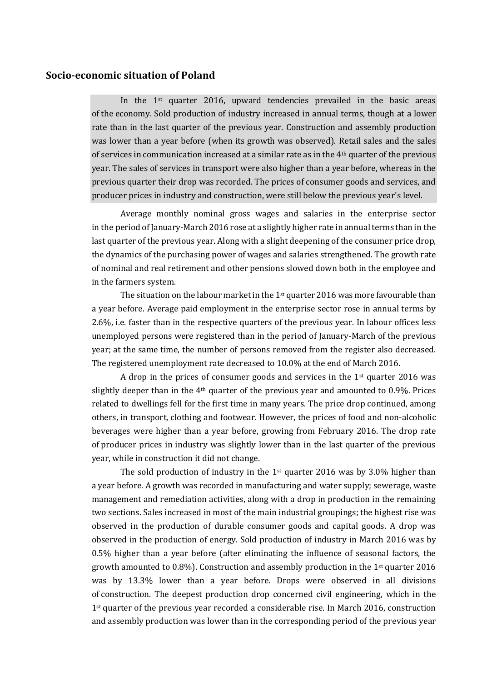## **Socio-economic situation of Poland**

In the  $1<sup>st</sup>$  quarter 2016, upward tendencies prevailed in the basic areas of the economy. Sold production of industry increased in annual terms, though at a lower rate than in the last quarter of the previous year. Construction and assembly production was lower than a year before (when its growth was observed). Retail sales and the sales of services in communication increased at a similar rate as in the 4th quarter of the previous year. The sales of services in transport were also higher than a year before, whereas in the previous quarter their drop was recorded. The prices of consumer goods and services, and producer prices in industry and construction, were still below the previous year's level.

Average monthly nominal gross wages and salaries in the enterprise sector in the period of January-March 2016 rose at a slightly higher rate in annual terms than in the last quarter of the previous year. Along with a slight deepening of the consumer price drop, the dynamics of the purchasing power of wages and salaries strengthened. The growth rate of nominal and real retirement and other pensions slowed down both in the employee and in the farmers system.

The situation on the labour market in the  $1<sup>st</sup>$  quarter 2016 was more favourable than a year before. Average paid employment in the enterprise sector rose in annual terms by 2.6%, i.e. faster than in the respective quarters of the previous year. In labour offices less unemployed persons were registered than in the period of January-March of the previous year; at the same time, the number of persons removed from the register also decreased. The registered unemployment rate decreased to 10.0% at the end of March 2016.

A drop in the prices of consumer goods and services in the 1st quarter 2016 was slightly deeper than in the 4th quarter of the previous year and amounted to 0.9%. Prices related to dwellings fell for the first time in many years. The price drop continued, among others, in transport, clothing and footwear. However, the prices of food and non-alcoholic beverages were higher than a year before, growing from February 2016. The drop rate of producer prices in industry was slightly lower than in the last quarter of the previous year, while in construction it did not change.

The sold production of industry in the  $1<sup>st</sup>$  quarter 2016 was by 3.0% higher than a year before. A growth was recorded in manufacturing and water supply; sewerage, waste management and remediation activities, along with a drop in production in the remaining two sections. Sales increased in most of the main industrial groupings; the highest rise was observed in the production of durable consumer goods and capital goods. A drop was observed in the production of energy. Sold production of industry in March 2016 was by 0.5% higher than a year before (after eliminating the influence of seasonal factors, the growth amounted to 0.8%). Construction and assembly production in the 1st quarter 2016 was by 13.3% lower than a year before. Drops were observed in all divisions of construction. The deepest production drop concerned civil engineering, which in the 1<sup>st</sup> quarter of the previous year recorded a considerable rise. In March 2016, construction and assembly production was lower than in the corresponding period of the previous year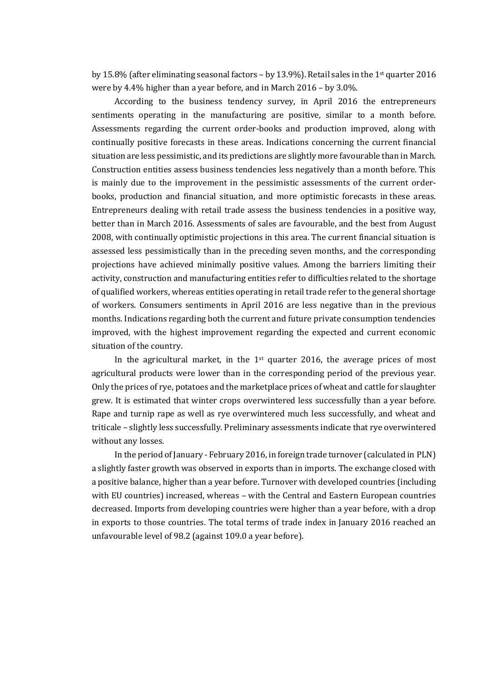by 15.8% (after eliminating seasonal factors – by 13.9%). Retail sales in the 1<sup>st</sup> quarter 2016 were by 4.4% higher than a year before, and in March 2016 – by 3.0%.

According to the business tendency survey, in April 2016 the entrepreneurs sentiments operating in the manufacturing are positive, similar to a month before. Assessments regarding the current order-books and production improved, along with continually positive forecasts in these areas. Indications concerning the current financial situation are less pessimistic, and its predictions are slightly more favourable than in March. Construction entities assess business tendencies less negatively than a month before. This is mainly due to the improvement in the pessimistic assessments of the current orderbooks, production and financial situation, and more optimistic forecasts in these areas. Entrepreneurs dealing with retail trade assess the business tendencies in a positive way, better than in March 2016. Assessments of sales are favourable, and the best from August 2008, with continually optimistic projections in this area. The current financial situation is assessed less pessimistically than in the preceding seven months, and the corresponding projections have achieved minimally positive values. Among the barriers limiting their activity, construction and manufacturing entities refer to difficulties related to the shortage of qualified workers, whereas entities operating in retail trade refer to the general shortage of workers. Consumers sentiments in April 2016 are less negative than in the previous months. Indications regarding both the current and future private consumption tendencies improved, with the highest improvement regarding the expected and current economic situation of the country.

In the agricultural market, in the  $1<sup>st</sup>$  quarter 2016, the average prices of most agricultural products were lower than in the corresponding period of the previous year. Only the prices of rye, potatoes and the marketplace prices of wheat and cattle for slaughter grew. It is estimated that winter crops overwintered less successfully than a year before. Rape and turnip rape as well as rye overwintered much less successfully, and wheat and triticale – slightly less successfully. Preliminary assessments indicate that rye overwintered without any losses.

In the period of January - February 2016, in foreign trade turnover (calculated in PLN) a slightly faster growth was observed in exports than in imports. The exchange closed with a positive balance, higher than a year before. Turnover with developed countries (including with EU countries) increased, whereas – with the Central and Eastern European countries decreased. Imports from developing countries were higher than a year before, with a drop in exports to those countries. The total terms of trade index in January 2016 reached an unfavourable level of 98.2 (against 109.0 a year before).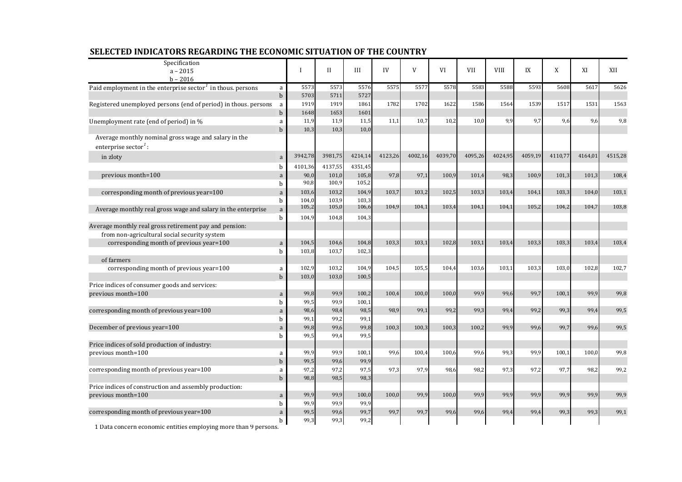| Specification                                                                            |                   |                |                |                |         |         |         |            |             |         |         |         |         |
|------------------------------------------------------------------------------------------|-------------------|----------------|----------------|----------------|---------|---------|---------|------------|-------------|---------|---------|---------|---------|
| $a - 2015$<br>$b - 2016$                                                                 |                   | $\mathbf{I}$   | $\mathbf{H}$   | III            | IV      | V       | VI      | <b>VII</b> | <b>VIII</b> | IX      | X       | XI      | XII     |
| Paid employment in the enterprise sector <sup><math>1</math></sup> in thous. persons     | a                 | 5573           | 5573           | 5576           | 5575    | 5577    | 5578    | 5583       | 5588        | 5593    | 5608    | 5617    | 5626    |
|                                                                                          | $\mathbf b$       | 5703           | 5711           | 5727           |         |         |         |            |             |         |         |         |         |
| Registered unemployed persons (end of period) in thous. persons                          | a                 | 1919           | 1919           | 1861           | 1782    | 1702    | 1622    | 1586       | 1564        | 1539    | 1517    | 1531    | 1563    |
|                                                                                          | $\mathbf b$       | 1648           | 1653           | 1601           |         |         |         |            |             |         |         |         |         |
| Unemployment rate (end of period) in %                                                   | a                 | 11,9           | 11,9           | 11,5           | 11.1    | 10,7    | 10,2    | 10.0       | 9,9         | 9,7     | 9,6     | 9,6     | 9,8     |
|                                                                                          | $\mathbf b$       | 10,3           | 10,3           | 10,0           |         |         |         |            |             |         |         |         |         |
| Average monthly nominal gross wage and salary in the<br>enterprise sector <sup>1</sup> : |                   |                |                |                |         |         |         |            |             |         |         |         |         |
| in zloty                                                                                 | a                 | 3942,78        | 3981,75        | 4214,14        | 4123,26 | 4002,16 | 4039,70 | 4095,26    | 4024,95     | 4059,19 | 4110,77 | 4164,01 | 4515,28 |
|                                                                                          | h                 | 4101,36        | 4137,55        | 4351,45        |         |         |         |            |             |         |         |         |         |
| previous month=100                                                                       | a                 | 90,0           | 101,0          | 105,8          | 97,8    | 97,1    | 100,9   | 101,4      | 98,3        | 100,9   | 101,3   | 101,3   | 108,4   |
|                                                                                          | b                 | 90,8           | 100,9          | 105,2          |         |         |         |            |             |         |         |         |         |
| corresponding month of previous year=100                                                 | $\mathbf a$       | 103,6          | 103,2          | 104,9          | 103,7   | 103,2   | 102,5   | 103,3      | 103,4       | 104,1   | 103,3   | 104,0   | 103,1   |
|                                                                                          | b                 | 104,0          | 103,9          | 103,3          |         |         |         |            |             |         |         |         |         |
| Average monthly real gross wage and salary in the enterprise                             | a                 | 105,2          | 105,0          | 106,6          | 104,9   | 104,1   | 103,4   | 104,1      | 104,1       | 105,2   | 104,2   | 104,7   | 103,8   |
|                                                                                          | b                 | 104,9          | 104,8          | 104,3          |         |         |         |            |             |         |         |         |         |
| Average monthly real gross retirement pay and pension:                                   |                   |                |                |                |         |         |         |            |             |         |         |         |         |
| from non-agricultural social security system                                             |                   |                |                |                |         |         |         |            |             |         |         |         |         |
| corresponding month of previous year=100                                                 | a<br><sub>b</sub> | 104,5<br>103,8 | 104,6<br>103,7 | 104,8<br>102,3 | 103,3   | 103,1   | 102,8   | 103,1      | 103,4       | 103,3   | 103,3   | 103,4   | 103,4   |
| of farmers                                                                               |                   |                |                |                |         |         |         |            |             |         |         |         |         |
| corresponding month of previous year=100                                                 | a                 | 102,9          | 103,2          | 104,9          | 104,5   | 105,5   | 104,4   | 103,6      | 103,1       | 103,3   | 103,0   | 102,8   | 102,7   |
|                                                                                          | $\mathbf b$       | 103,0          | 103,0          | 100,5          |         |         |         |            |             |         |         |         |         |
| Price indices of consumer goods and services:                                            |                   |                |                |                |         |         |         |            |             |         |         |         |         |
| previous month=100                                                                       | a                 | 99,8           | 99,9           | 100,2          | 100,4   | 100,0   | 100,0   | 99,9       | 99,6        | 99,7    | 100,1   | 99,9    | 99,8    |
|                                                                                          | b                 | 99,5           | 99,9           | 100,1          |         |         |         |            |             |         |         |         |         |
| corresponding month of previous year=100                                                 | $\mathbf a$       | 98,6           | 98,4           | 98,5           | 98,9    | 99,1    | 99,2    | 99,3       | 99,4        | 99,2    | 99,3    | 99,4    | 99,5    |
|                                                                                          | h                 | 99,1           | 99,2           | 99,1           |         |         |         |            |             |         |         |         |         |
| December of previous year=100                                                            | a                 | 99,8           | 99,6           | 99,8           | 100,3   | 100,3   | 100,3   | 100,2      | 99,9        | 99,6    | 99.7    | 99.6    | 99,5    |
|                                                                                          | b                 | 99,5           | 99,4           | 99,5           |         |         |         |            |             |         |         |         |         |
| Price indices of sold production of industry:                                            |                   |                |                |                |         |         |         |            |             |         |         |         |         |
| previous month=100                                                                       | a                 | 99,9           | 99,9           | 100,1          | 99,6    | 100,4   | 100,6   | 99,6       | 99,3        | 99,9    | 100,1   | 100.0   | 99,8    |
| corresponding month of previous year=100                                                 | $\mathbf b$       | 99,5<br>97,2   | 99,6<br>97,2   | 99,9<br>97,5   | 97,3    | 97,9    | 98,6    | 98,2       | 97,3        | 97,2    | 97,7    | 98,2    | 99,2    |
|                                                                                          | a<br>$\mathbf b$  | 98,8           | 98,5           | 98,3           |         |         |         |            |             |         |         |         |         |
| Price indices of construction and assembly production:                                   |                   |                |                |                |         |         |         |            |             |         |         |         |         |
| previous month=100                                                                       | a                 | 99,9           | 99,9           | 100,0          | 100,0   | 99,9    | 100,0   | 99,9       | 99,9        | 99,9    | 99.9    | 99.9    | 99,9    |
|                                                                                          | $\mathbf b$       | 99,9           | 99,9           | 99,9           |         |         |         |            |             |         |         |         |         |
| corresponding month of previous year=100                                                 | a                 | 99,5           | 99,6           | 99,7           | 99,7    | 99,7    | 99,6    | 99,6       | 99,4        | 99,4    | 99,3    | 99,3    | 99,1    |
|                                                                                          | b                 | 99,3           | 99,3           | 99,2           |         |         |         |            |             |         |         |         |         |

## **SELECTED INDICATORS REGARDING THE ECONOMIC SITUATION OF THE COUNTRY**

1 Data concern economic entities employing more than 9 persons.